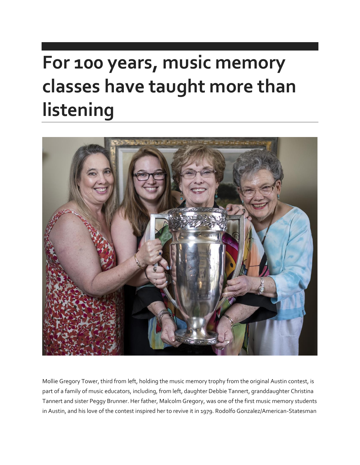# **For 100 years, music memory classes have taught more than listening**



Mollie Gregory Tower, third from left, holding the music memory trophy from the original Austin contest, is part of a family of music educators, including, from left, daughter Debbie Tannert, granddaughter Christina Tannert and sister Peggy Brunner. Her father, Malcolm Gregory, was one of the first music memory students in Austin, and his love of the contest inspired her to revive it in 1979. Rodolfo Gonzalez/American-Statesman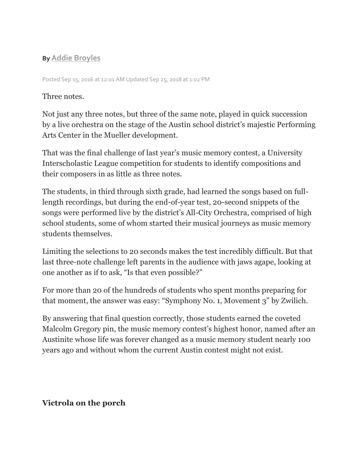## **By [Addie Broyles](mailto:abroyles@statesman.com)**

Posted Sep 15, 2016 at 12:01 AM Updated Sep 25, 2018 at 1:02 PM

#### Three notes.

Not just any three notes, but three of the same note, played in quick succession by a live orchestra on the stage of the Austin school district's majestic Performing Arts Center in the Mueller development.

That was the final challenge of last year's music memory contest, a University Interscholastic League competition for students to identify compositions and their composers in as little as three notes.

The students, in third through sixth grade, had learned the songs based on fulllength recordings, but during the end-of-year test, 20-second snippets of the songs were performed live by the district's All-City Orchestra, comprised of high school students, some of whom started their musical journeys as music memory students themselves.

Limiting the selections to 20 seconds makes the test incredibly difficult. But that last three-note challenge left parents in the audience with jaws agape, looking at one another as if to ask, "Is that even possible?"

For more than 20 of the hundreds of students who spent months preparing for that moment, the answer was easy: "Symphony No. 1, Movement 3" by Zwilich.

By answering that final question correctly, those students earned the coveted Malcolm Gregory pin, the music memory contest's highest honor, named after an Austinite whose life was forever changed as a music memory student nearly 100 years ago and without whom the current Austin contest might not exist.

## **Victrola on the porch**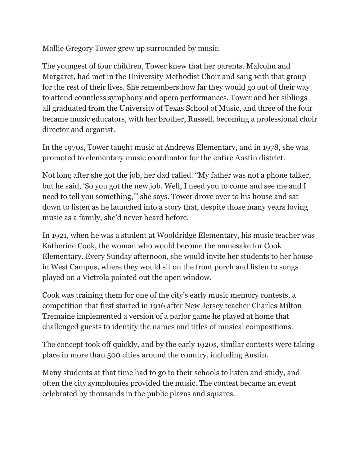Mollie Gregory Tower grew up surrounded by music.

The youngest of four children, Tower knew that her parents, Malcolm and Margaret, had met in the University Methodist Choir and sang with that group for the rest of their lives. She remembers how far they would go out of their way to attend countless symphony and opera performances. Tower and her siblings all graduated from the University of Texas School of Music, and three of the four became music educators, with her brother, Russell, becoming a professional choir director and organist.

In the 1970s, Tower taught music at Andrews Elementary, and in 1978, she was promoted to elementary music coordinator for the entire Austin district.

Not long after she got the job, her dad called. "My father was not a phone talker, but he said, 'So you got the new job. Well, I need you to come and see me and I need to tell you something,'" she says. Tower drove over to his house and sat down to listen as he launched into a story that, despite those many years loving music as a family, she'd never heard before.

In 1921, when he was a student at Wooldridge Elementary, his music teacher was Katherine Cook, the woman who would become the namesake for Cook Elementary. Every Sunday afternoon, she would invite her students to her house in West Campus, where they would sit on the front porch and listen to songs played on a Victrola pointed out the open window.

Cook was training them for one of the city's early music memory contests, a competition that first started in 1916 after New Jersey teacher Charles Milton Tremaine implemented a version of a parlor game he played at home that challenged guests to identify the names and titles of musical compositions.

The concept took off quickly, and by the early 1920s, similar contests were taking place in more than 500 cities around the country, including Austin.

Many students at that time had to go to their schools to listen and study, and often the city symphonies provided the music. The contest became an event celebrated by thousands in the public plazas and squares.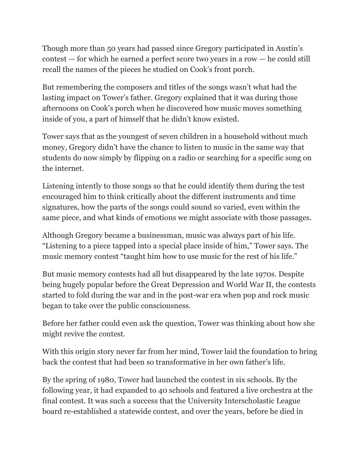Though more than 50 years had passed since Gregory participated in Austin's contest — for which he earned a perfect score two years in a row — he could still recall the names of the pieces he studied on Cook's front porch.

But remembering the composers and titles of the songs wasn't what had the lasting impact on Tower's father. Gregory explained that it was during those afternoons on Cook's porch when he discovered how music moves something inside of you, a part of himself that he didn't know existed.

Tower says that as the youngest of seven children in a household without much money, Gregory didn't have the chance to listen to music in the same way that students do now simply by flipping on a radio or searching for a specific song on the internet.

Listening intently to those songs so that he could identify them during the test encouraged him to think critically about the different instruments and time signatures, how the parts of the songs could sound so varied, even within the same piece, and what kinds of emotions we might associate with those passages.

Although Gregory became a businessman, music was always part of his life. "Listening to a piece tapped into a special place inside of him," Tower says. The music memory contest "taught him how to use music for the rest of his life."

But music memory contests had all but disappeared by the late 1970s. Despite being hugely popular before the Great Depression and World War II, the contests started to fold during the war and in the post-war era when pop and rock music began to take over the public consciousness.

Before her father could even ask the question, Tower was thinking about how she might revive the contest.

With this origin story never far from her mind, Tower laid the foundation to bring back the contest that had been so transformative in her own father's life.

By the spring of 1980, Tower had launched the contest in six schools. By the following year, it had expanded to 40 schools and featured a live orchestra at the final contest. It was such a success that the University Interscholastic League board re-established a statewide contest, and over the years, before he died in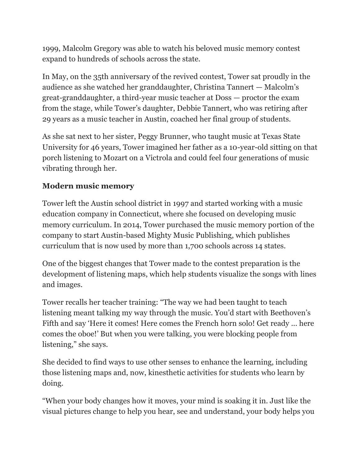1999, Malcolm Gregory was able to watch his beloved music memory contest expand to hundreds of schools across the state.

In May, on the 35th anniversary of the revived contest, Tower sat proudly in the audience as she watched her granddaughter, Christina Tannert — Malcolm's great-granddaughter, a third-year music teacher at Doss — proctor the exam from the stage, while Tower's daughter, Debbie Tannert, who was retiring after 29 years as a music teacher in Austin, coached her final group of students.

As she sat next to her sister, Peggy Brunner, who taught music at Texas State University for 46 years, Tower imagined her father as a 10-year-old sitting on that porch listening to Mozart on a Victrola and could feel four generations of music vibrating through her.

#### **Modern music memory**

Tower left the Austin school district in 1997 and started working with a music education company in Connecticut, where she focused on developing music memory curriculum. In 2014, Tower purchased the music memory portion of the company to start Austin-based Mighty Music Publishing, which publishes curriculum that is now used by more than 1,700 schools across 14 states.

One of the biggest changes that Tower made to the contest preparation is the development of listening maps, which help students visualize the songs with lines and images.

Tower recalls her teacher training: "The way we had been taught to teach listening meant talking my way through the music. You'd start with Beethoven's Fifth and say 'Here it comes! Here comes the French horn solo! Get ready ... here comes the oboe!' But when you were talking, you were blocking people from listening," she says.

She decided to find ways to use other senses to enhance the learning, including those listening maps and, now, kinesthetic activities for students who learn by doing.

"When your body changes how it moves, your mind is soaking it in. Just like the visual pictures change to help you hear, see and understand, your body helps you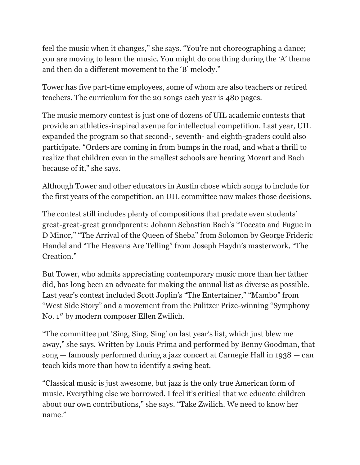feel the music when it changes," she says. "You're not choreographing a dance; you are moving to learn the music. You might do one thing during the 'A' theme and then do a different movement to the 'B' melody."

Tower has five part-time employees, some of whom are also teachers or retired teachers. The curriculum for the 20 songs each year is 480 pages.

The music memory contest is just one of dozens of UIL academic contests that provide an athletics-inspired avenue for intellectual competition. Last year, UIL expanded the program so that second-, seventh- and eighth-graders could also participate. "Orders are coming in from bumps in the road, and what a thrill to realize that children even in the smallest schools are hearing Mozart and Bach because of it," she says.

Although Tower and other educators in Austin chose which songs to include for the first years of the competition, an UIL committee now makes those decisions.

The contest still includes plenty of compositions that predate even students' great-great-great grandparents: Johann Sebastian Bach's "Toccata and Fugue in D Minor," "The Arrival of the Queen of Sheba" from Solomon by George Frideric Handel and "The Heavens Are Telling" from Joseph Haydn's masterwork, "The Creation."

But Tower, who admits appreciating contemporary music more than her father did, has long been an advocate for making the annual list as diverse as possible. Last year's contest included Scott Joplin's "The Entertainer," "Mambo" from "West Side Story" and a movement from the Pulitzer Prize-winning "Symphony No. 1″ by modern composer Ellen Zwilich.

"The committee put 'Sing, Sing, Sing' on last year's list, which just blew me away," she says. Written by Louis Prima and performed by Benny Goodman, that song — famously performed during a jazz concert at Carnegie Hall in 1938 — can teach kids more than how to identify a swing beat.

"Classical music is just awesome, but jazz is the only true American form of music. Everything else we borrowed. I feel it's critical that we educate children about our own contributions," she says. "Take Zwilich. We need to know her name."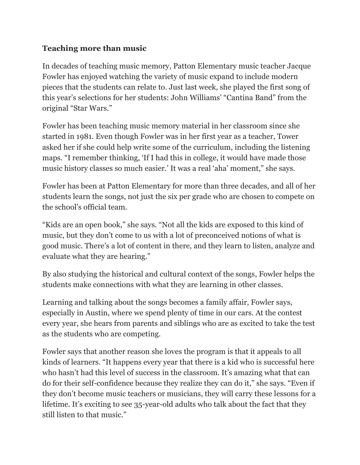## **Teaching more than music**

In decades of teaching music memory, Patton Elementary music teacher Jacque Fowler has enjoyed watching the variety of music expand to include modern pieces that the students can relate to. Just last week, she played the first song of this year's selections for her students: John Williams' "Cantina Band" from the original "Star Wars."

Fowler has been teaching music memory material in her classroom since she started in 1981. Even though Fowler was in her first year as a teacher, Tower asked her if she could help write some of the curriculum, including the listening maps. "I remember thinking, 'If I had this in college, it would have made those music history classes so much easier.' It was a real 'aha' moment," she says.

Fowler has been at Patton Elementary for more than three decades, and all of her students learn the songs, not just the six per grade who are chosen to compete on the school's official team.

"Kids are an open book," she says. "Not all the kids are exposed to this kind of music, but they don't come to us with a lot of preconceived notions of what is good music. There's a lot of content in there, and they learn to listen, analyze and evaluate what they are hearing."

By also studying the historical and cultural context of the songs, Fowler helps the students make connections with what they are learning in other classes.

Learning and talking about the songs becomes a family affair, Fowler says, especially in Austin, where we spend plenty of time in our cars. At the contest every year, she hears from parents and siblings who are as excited to take the test as the students who are competing.

Fowler says that another reason she loves the program is that it appeals to all kinds of learners. "It happens every year that there is a kid who is successful here who hasn't had this level of success in the classroom. It's amazing what that can do for their self-confidence because they realize they can do it," she says. "Even if they don't become music teachers or musicians, they will carry these lessons for a lifetime. It's exciting to see 35-year-old adults who talk about the fact that they still listen to that music."